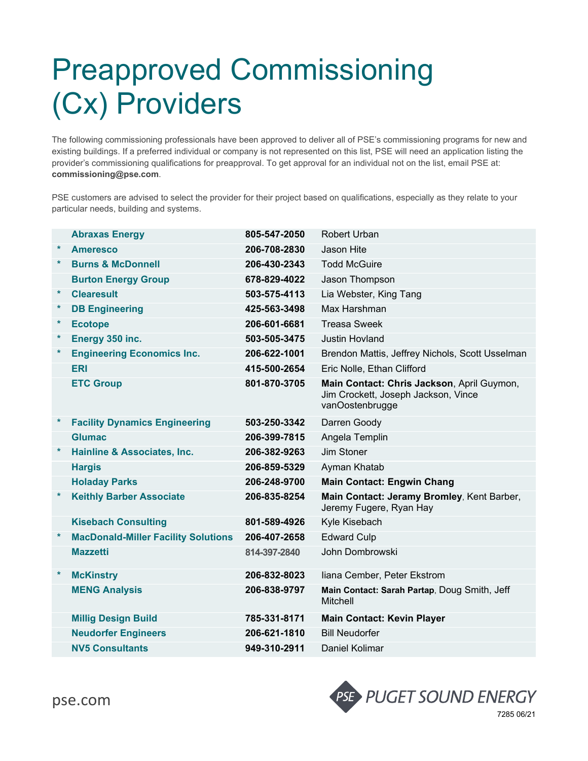## Preapproved Commissioning (Cx) Providers

The following commissioning professionals have been approved to deliver all of PSE's commissioning programs for new and existing buildings. If a preferred individual or company is not represented on this list, PSE will need an application listing the provider's commissioning qualifications for preapproval. To get approval for an individual not on the list, email PSE at: **commissioning@pse.com**.

PSE customers are advised to select the provider for their project based on qualifications, especially as they relate to your particular needs, building and systems.

|         | <b>Abraxas Energy</b>                      | 805-547-2050 | Robert Urban                                                                                         |
|---------|--------------------------------------------|--------------|------------------------------------------------------------------------------------------------------|
| $\star$ | <b>Ameresco</b>                            | 206-708-2830 | Jason Hite                                                                                           |
| $\star$ | <b>Burns &amp; McDonnell</b>               | 206-430-2343 | <b>Todd McGuire</b>                                                                                  |
|         | <b>Burton Energy Group</b>                 | 678-829-4022 | Jason Thompson                                                                                       |
| $\star$ | <b>Clearesult</b>                          | 503-575-4113 | Lia Webster, King Tang                                                                               |
| $\star$ | <b>DB Engineering</b>                      | 425-563-3498 | Max Harshman                                                                                         |
| $\ast$  | <b>Ecotope</b>                             | 206-601-6681 | <b>Treasa Sweek</b>                                                                                  |
| $\star$ | Energy 350 inc.                            | 503-505-3475 | <b>Justin Hovland</b>                                                                                |
| $\star$ | <b>Engineering Economics Inc.</b>          | 206-622-1001 | Brendon Mattis, Jeffrey Nichols, Scott Usselman                                                      |
|         | <b>ERI</b>                                 | 415-500-2654 | Eric Nolle, Ethan Clifford                                                                           |
|         | <b>ETC Group</b>                           | 801-870-3705 | Main Contact: Chris Jackson, April Guymon,<br>Jim Crockett, Joseph Jackson, Vince<br>vanOostenbrugge |
| $\ast$  | <b>Facility Dynamics Engineering</b>       | 503-250-3342 | Darren Goody                                                                                         |
|         | <b>Glumac</b>                              | 206-399-7815 | Angela Templin                                                                                       |
| $\ast$  | Hainline & Associates, Inc.                | 206-382-9263 | Jim Stoner                                                                                           |
|         | <b>Hargis</b>                              | 206-859-5329 | Ayman Khatab                                                                                         |
|         | <b>Holaday Parks</b>                       | 206-248-9700 | <b>Main Contact: Engwin Chang</b>                                                                    |
| $\ast$  | <b>Keithly Barber Associate</b>            | 206-835-8254 | Main Contact: Jeramy Bromley, Kent Barber,<br>Jeremy Fugere, Ryan Hay                                |
|         | <b>Kisebach Consulting</b>                 | 801-589-4926 | Kyle Kisebach                                                                                        |
| $\ast$  | <b>MacDonald-Miller Facility Solutions</b> | 206-407-2658 | <b>Edward Culp</b>                                                                                   |
|         | <b>Mazzetti</b>                            | 814-397-2840 | John Dombrowski                                                                                      |
| $\ast$  | <b>McKinstry</b>                           | 206-832-8023 | liana Cember, Peter Ekstrom                                                                          |
|         | <b>MENG Analysis</b>                       | 206-838-9797 | Main Contact: Sarah Partap, Doug Smith, Jeff<br>Mitchell                                             |
|         | <b>Millig Design Build</b>                 | 785-331-8171 | <b>Main Contact: Kevin Player</b>                                                                    |
|         | <b>Neudorfer Engineers</b>                 | 206-621-1810 | <b>Bill Neudorfer</b>                                                                                |
|         | <b>NV5 Consultants</b>                     | 949-310-2911 | Daniel Kolimar                                                                                       |